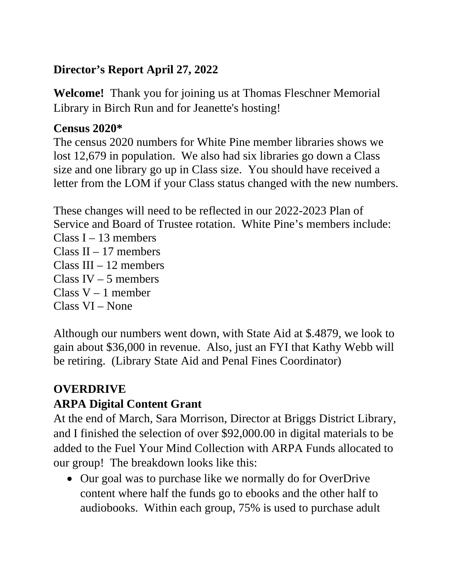### **Director's Report April 27, 2022**

**Welcome!** Thank you for joining us at Thomas Fleschner Memorial Library in Birch Run and for Jeanette's hosting!

#### **Census 2020\***

The census 2020 numbers for White Pine member libraries shows we lost 12,679 in population. We also had six libraries go down a Class size and one library go up in Class size. You should have received a letter from the LOM if your Class status changed with the new numbers.

These changes will need to be reflected in our 2022-2023 Plan of Service and Board of Trustee rotation. White Pine's members include: Class  $I - 13$  members Class  $II - 17$  members Class  $III - 12$  members Class IV – 5 members Class  $V - 1$  member Class VI – None

Although our numbers went down, with State Aid at \$.4879, we look to gain about \$36,000 in revenue. Also, just an FYI that Kathy Webb will be retiring. (Library State Aid and Penal Fines Coordinator)

### **OVERDRIVE ARPA Digital Content Grant**

At the end of March, Sara Morrison, Director at Briggs District Library, and I finished the selection of over \$92,000.00 in digital materials to be added to the Fuel Your Mind Collection with ARPA Funds allocated to our group! The breakdown looks like this:

• Our goal was to purchase like we normally do for OverDrive content where half the funds go to ebooks and the other half to audiobooks. Within each group, 75% is used to purchase adult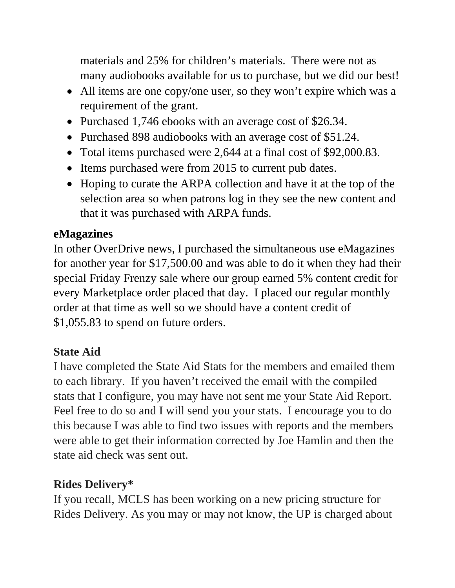materials and 25% for children's materials. There were not as many audiobooks available for us to purchase, but we did our best!

- All items are one copy/one user, so they won't expire which was a requirement of the grant.
- Purchased 1,746 ebooks with an average cost of \$26.34.
- Purchased 898 audiobooks with an average cost of \$51.24.
- Total items purchased were 2,644 at a final cost of \$92,000.83.
- Items purchased were from 2015 to current pub dates.
- Hoping to curate the ARPA collection and have it at the top of the selection area so when patrons log in they see the new content and that it was purchased with ARPA funds.

#### **eMagazines**

In other OverDrive news, I purchased the simultaneous use eMagazines for another year for \$17,500.00 and was able to do it when they had their special Friday Frenzy sale where our group earned 5% content credit for every Marketplace order placed that day. I placed our regular monthly order at that time as well so we should have a content credit of \$1,055.83 to spend on future orders.

### **State Aid**

I have completed the State Aid Stats for the members and emailed them to each library. If you haven't received the email with the compiled stats that I configure, you may have not sent me your State Aid Report. Feel free to do so and I will send you your stats. I encourage you to do this because I was able to find two issues with reports and the members were able to get their information corrected by Joe Hamlin and then the state aid check was sent out.

### **Rides Delivery\***

If you recall, MCLS has been working on a new pricing structure for Rides Delivery. As you may or may not know, the UP is charged about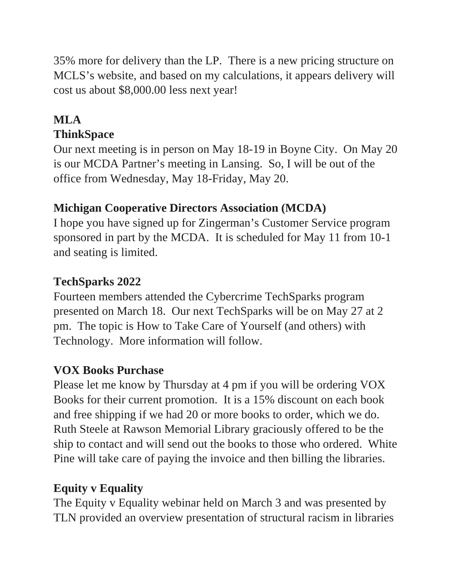35% more for delivery than the LP. There is a new pricing structure on MCLS's website, and based on my calculations, it appears delivery will cost us about \$8,000.00 less next year!

### **MLA ThinkSpace**

Our next meeting is in person on May 18-19 in Boyne City. On May 20 is our MCDA Partner's meeting in Lansing. So, I will be out of the office from Wednesday, May 18-Friday, May 20.

# **Michigan Cooperative Directors Association (MCDA)**

I hope you have signed up for Zingerman's Customer Service program sponsored in part by the MCDA. It is scheduled for May 11 from 10-1 and seating is limited.

### **TechSparks 2022**

Fourteen members attended the Cybercrime TechSparks program presented on March 18. Our next TechSparks will be on May 27 at 2 pm. The topic is How to Take Care of Yourself (and others) with Technology. More information will follow.

# **VOX Books Purchase**

Please let me know by Thursday at 4 pm if you will be ordering VOX Books for their current promotion. It is a 15% discount on each book and free shipping if we had 20 or more books to order, which we do. Ruth Steele at Rawson Memorial Library graciously offered to be the ship to contact and will send out the books to those who ordered. White Pine will take care of paying the invoice and then billing the libraries.

### **Equity v Equality**

The Equity v Equality webinar held on March 3 and was presented by TLN provided an overview presentation of structural racism in libraries